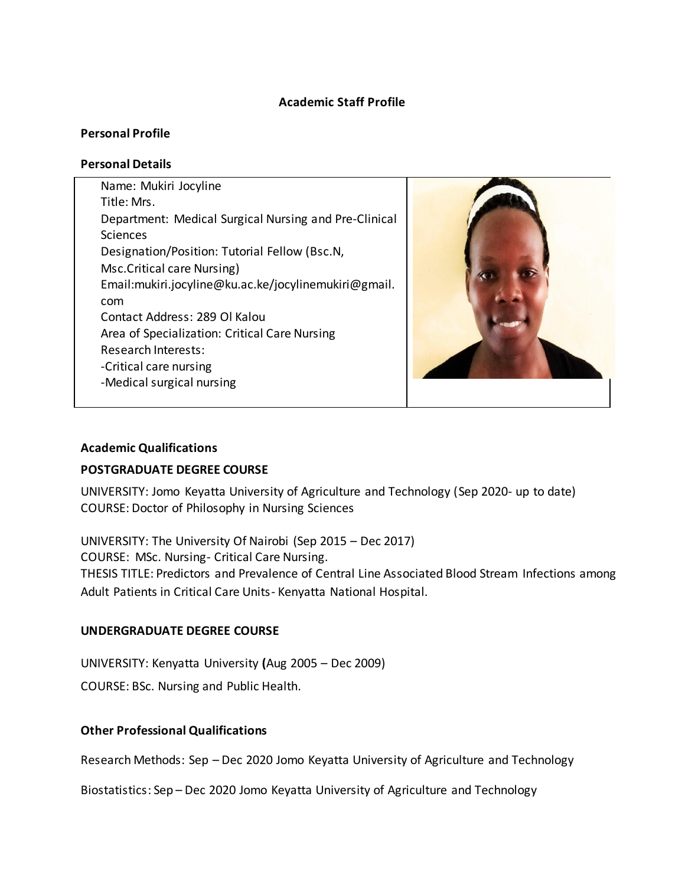#### **Academic Staff Profile**

#### **Personal Profile**

#### **Personal Details**

Name: Mukiri Jocyline Title: Mrs. Department: Medical Surgical Nursing and Pre-Clinical **Sciences** Designation/Position: Tutorial Fellow (Bsc.N, Msc.Critical care Nursing) Email:mukiri.jocyline@ku.ac.ke/jocylinemukiri@gmail. com Contact Address: 289 Ol Kalou Area of Specialization: Critical Care Nursing Research Interests: -Critical care nursing -Medical surgical nursing



#### **Academic Qualifications**

### **POSTGRADUATE DEGREE COURSE**

UNIVERSITY: Jomo Keyatta University of Agriculture and Technology (Sep 2020- up to date) COURSE: Doctor of Philosophy in Nursing Sciences

UNIVERSITY: The University Of Nairobi (Sep 2015 – Dec 2017) COURSE: MSc. Nursing- Critical Care Nursing. THESIS TITLE: Predictors and Prevalence of Central Line Associated Blood Stream Infections among Adult Patients in Critical Care Units- Kenyatta National Hospital.

### **UNDERGRADUATE DEGREE COURSE**

UNIVERSITY: Kenyatta University **(**Aug 2005 – Dec 2009)

COURSE: BSc. Nursing and Public Health.

### **Other Professional Qualifications**

Research Methods: Sep – Dec 2020 Jomo Keyatta University of Agriculture and Technology

Biostatistics: Sep – Dec 2020 Jomo Keyatta University of Agriculture and Technology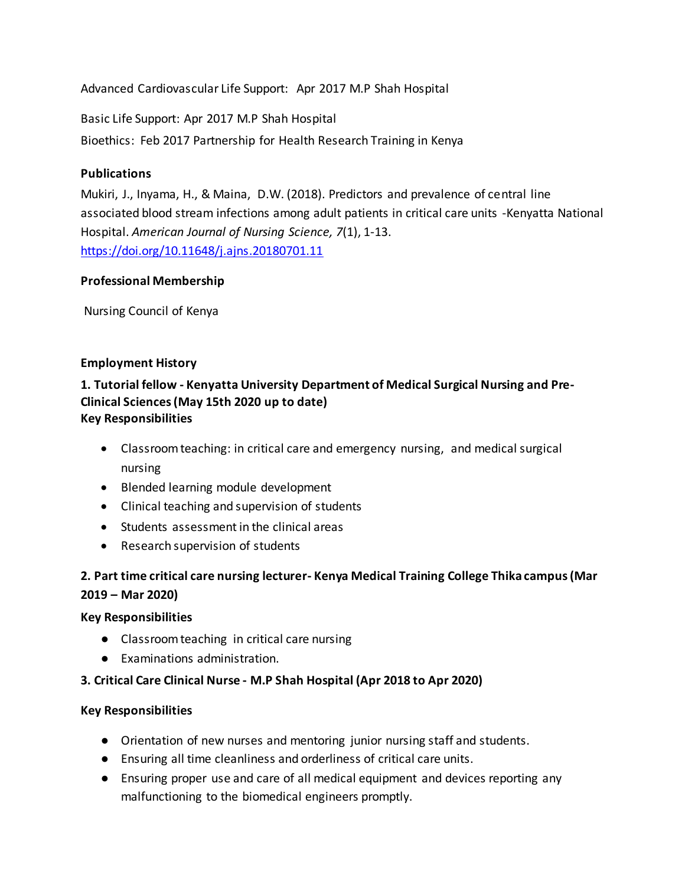Advanced Cardiovascular Life Support: Apr 2017 M.P Shah Hospital

Basic Life Support: Apr 2017 M.P Shah Hospital

Bioethics: Feb 2017 Partnership for Health Research Training in Kenya

### **Publications**

Mukiri, J., Inyama, H., & Maina, D.W. (2018). Predictors and prevalence of central line associated blood stream infections among adult patients in critical care units -Kenyatta National Hospital. *American Journal of Nursing Science, 7*(1), 1-13. <https://doi.org/10.11648/j.ajns.20180701.11>

### **Professional Membership**

Nursing Council of Kenya

## **Employment History**

### **1. Tutorial fellow - Kenyatta University Department of Medical Surgical Nursing and Pre-Clinical Sciences (May 15th 2020 up to date) Key Responsibilities**

- Classroom teaching: in critical care and emergency nursing, and medical surgical nursing
- Blended learning module development
- Clinical teaching and supervision of students
- Students assessment in the clinical areas
- Research supervision of students

## **2. Part time critical care nursing lecturer- Kenya Medical Training College Thika campus (Mar 2019 – Mar 2020)**

### **Key Responsibilities**

- Classroom teaching in critical care nursing
- Examinations administration.

## **3. Critical Care Clinical Nurse - M.P Shah Hospital (Apr 2018 to Apr 2020)**

### **Key Responsibilities**

- Orientation of new nurses and mentoring junior nursing staff and students.
- Ensuring all time cleanliness and orderliness of critical care units.
- Ensuring proper use and care of all medical equipment and devices reporting any malfunctioning to the biomedical engineers promptly.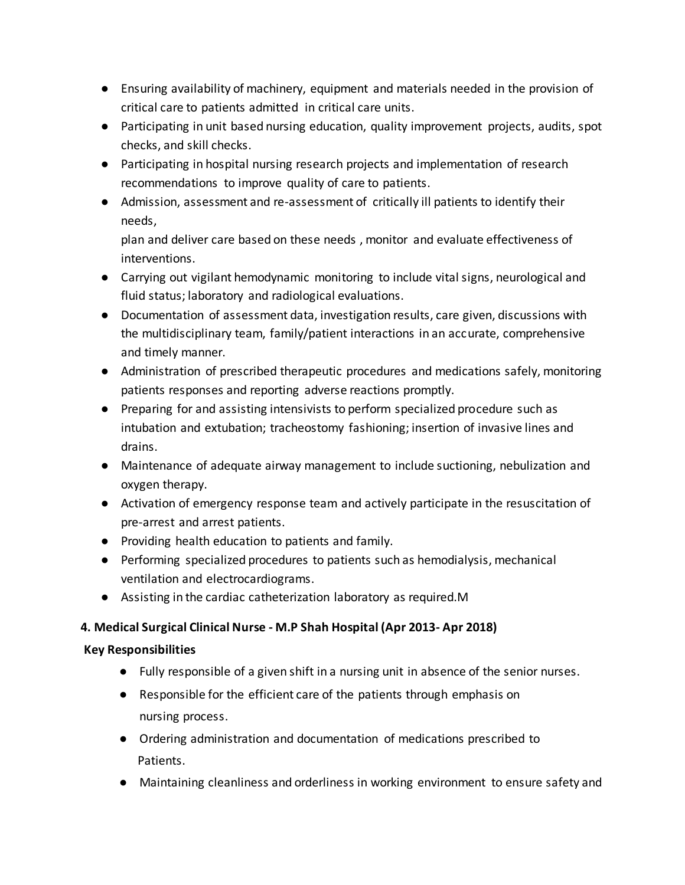- Ensuring availability of machinery, equipment and materials needed in the provision of critical care to patients admitted in critical care units.
- Participating in unit based nursing education, quality improvement projects, audits, spot checks, and skill checks.
- Participating in hospital nursing research projects and implementation of research recommendations to improve quality of care to patients.
- Admission, assessment and re-assessment of critically ill patients to identify their needs,

plan and deliver care based on these needs , monitor and evaluate effectiveness of interventions.

- Carrying out vigilant hemodynamic monitoring to include vital signs, neurological and fluid status; laboratory and radiological evaluations.
- Documentation of assessment data, investigation results, care given, discussions with the multidisciplinary team, family/patient interactions in an accurate, comprehensive and timely manner.
- Administration of prescribed therapeutic procedures and medications safely, monitoring patients responses and reporting adverse reactions promptly.
- Preparing for and assisting intensivists to perform specialized procedure such as intubation and extubation; tracheostomy fashioning; insertion of invasive lines and drains.
- Maintenance of adequate airway management to include suctioning, nebulization and oxygen therapy.
- Activation of emergency response team and actively participate in the resuscitation of pre-arrest and arrest patients.
- Providing health education to patients and family.
- Performing specialized procedures to patients such as hemodialysis, mechanical ventilation and electrocardiograms.
- Assisting in the cardiac catheterization laboratory as required.M

## **4. Medical Surgical Clinical Nurse - M.P Shah Hospital (Apr 2013- Apr 2018)**

## **Key Responsibilities**

- Fully responsible of a given shift in a nursing unit in absence of the senior nurses.
- Responsible for the efficient care of the patients through emphasis on nursing process.
- Ordering administration and documentation of medications prescribed to Patients.
- Maintaining cleanliness and orderliness in working environment to ensure safety and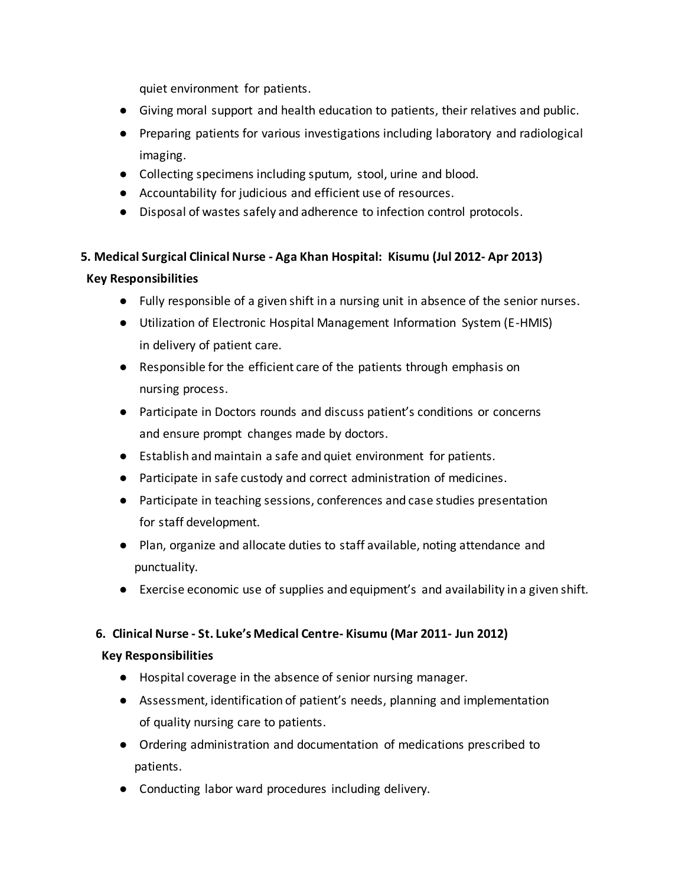quiet environment for patients.

- Giving moral support and health education to patients, their relatives and public.
- Preparing patients for various investigations including laboratory and radiological imaging.
- Collecting specimens including sputum, stool, urine and blood.
- Accountability for judicious and efficient use of resources.
- Disposal of wastes safely and adherence to infection control protocols.

# **5. Medical Surgical Clinical Nurse - Aga Khan Hospital: Kisumu (Jul 2012- Apr 2013) Key Responsibilities**

- Fully responsible of a given shift in a nursing unit in absence of the senior nurses.
- Utilization of Electronic Hospital Management Information System (E-HMIS) in delivery of patient care.
- Responsible for the efficient care of the patients through emphasis on nursing process.
- Participate in Doctors rounds and discuss patient's conditions or concerns and ensure prompt changes made by doctors.
- Establish and maintain a safe and quiet environment for patients.
- Participate in safe custody and correct administration of medicines.
- Participate in teaching sessions, conferences and case studies presentation for staff development.
- Plan, organize and allocate duties to staff available, noting attendance and punctuality.
- Exercise economic use of supplies and equipment's and availability in a given shift.

### **6. Clinical Nurse - St. Luke's Medical Centre- Kisumu (Mar 2011- Jun 2012)**

### **Key Responsibilities**

- Hospital coverage in the absence of senior nursing manager.
- Assessment, identification of patient's needs, planning and implementation of quality nursing care to patients.
- Ordering administration and documentation of medications prescribed to patients.
- Conducting labor ward procedures including delivery.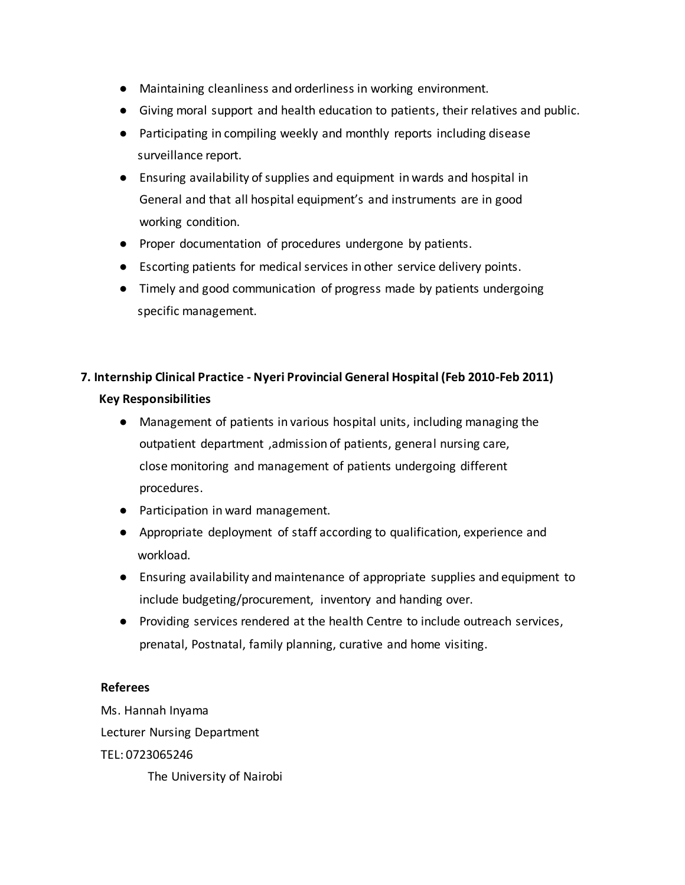- Maintaining cleanliness and orderliness in working environment.
- Giving moral support and health education to patients, their relatives and public.
- Participating in compiling weekly and monthly reports including disease surveillance report.
- Ensuring availability of supplies and equipment in wards and hospital in General and that all hospital equipment's and instruments are in good working condition.
- Proper documentation of procedures undergone by patients.
- Escorting patients for medical services in other service delivery points.
- Timely and good communication of progress made by patients undergoing specific management.

# **7. Internship Clinical Practice - Nyeri Provincial General Hospital (Feb 2010-Feb 2011) Key Responsibilities**

- Management of patients in various hospital units, including managing the outpatient department ,admission of patients, general nursing care, close monitoring and management of patients undergoing different procedures.
- Participation in ward management.
- Appropriate deployment of staff according to qualification, experience and workload.
- Ensuring availability and maintenance of appropriate supplies and equipment to include budgeting/procurement, inventory and handing over.
- Providing services rendered at the health Centre to include outreach services, prenatal, Postnatal, family planning, curative and home visiting.

#### **Referees**

Ms. Hannah Inyama Lecturer Nursing Department TEL: 0723065246 The University of Nairobi